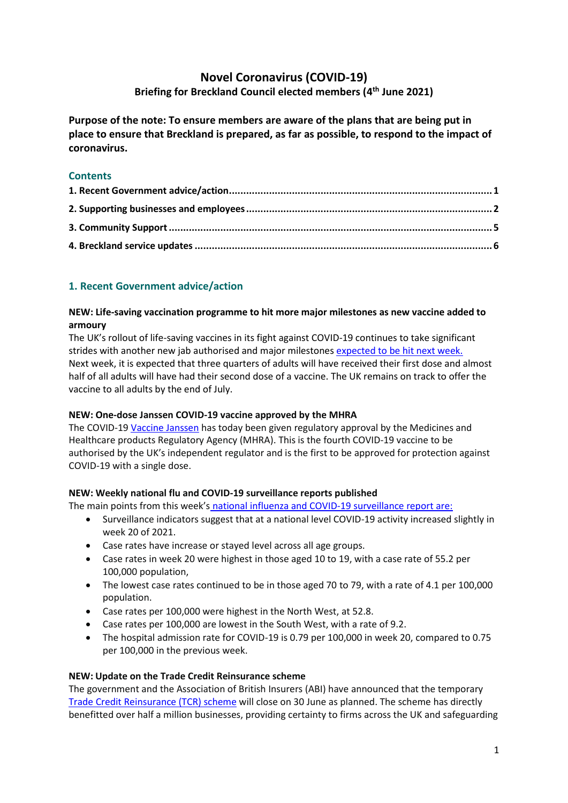# **Novel Coronavirus (COVID-19) Briefing for Breckland Council elected members (4 th June 2021)**

**Purpose of the note: To ensure members are aware of the plans that are being put in place to ensure that Breckland is prepared, as far as possible, to respond to the impact of coronavirus.**

## **Contents**

## <span id="page-0-0"></span>**1. Recent Government advice/action**

#### **NEW: Life-saving vaccination programme to hit more major milestones as new vaccine added to armoury**

The UK's rollout of life-saving vaccines in its fight against COVID-19 continues to take significant strides with another new jab authorised and major milestone[s expected to be hit next week.](https://www.gov.uk/government/news/life-saving-vaccination-programme-to-hit-more-major-milestones-as-new-vaccine-added-to-armoury) Next week, it is expected that three quarters of adults will have received their first dose and almost half of all adults will have had their second dose of a vaccine. The UK remains on track to offer the vaccine to all adults by the end of July.

## **NEW: One-dose Janssen COVID-19 vaccine approved by the MHRA**

The COVID-19 [Vaccine Janssen](https://www.gov.uk/government/news/one-dose-janssen-covid-19-vaccine-approved-by-the-mhra) has today been given regulatory approval by the Medicines and Healthcare products Regulatory Agency (MHRA). This is the fourth COVID-19 vaccine to be authorised by the UK's independent regulator and is the first to be approved for protection against COVID-19 with a single dose.

## **NEW: Weekly national flu and COVID-19 surveillance reports published**

The main points from this week's national influenza and COVID-19 [surveillance](https://www.gov.uk/government/news/weekly-national-flu-and-covid-19-surveillance-reports-published) report are:

- Surveillance indicators suggest that at a national level COVID-19 activity increased slightly in week 20 of 2021.
- Case rates have increase or stayed level across all age groups.
- Case rates in week 20 were highest in those aged 10 to 19, with a case rate of 55.2 per 100,000 population,
- The lowest case rates continued to be in those aged 70 to 79, with a rate of 4.1 per 100,000 population.
- Case rates per 100,000 were highest in the North West, at 52.8.
- Case rates per 100,000 are lowest in the South West, with a rate of 9.2.
- The hospital admission rate for COVID-19 is 0.79 per 100,000 in week 20, compared to 0.75 per 100,000 in the previous week.

## **NEW: Update on the Trade Credit Reinsurance scheme**

The government and the Association of British Insurers (ABI) have announced that the temporary [Trade Credit Reinsurance \(TCR\) scheme](https://www.gov.uk/government/news/update-on-the-trade-credit-reinsurance-scheme) will close on 30 June as planned. The scheme has directly benefitted over half a million businesses, providing certainty to firms across the UK and safeguarding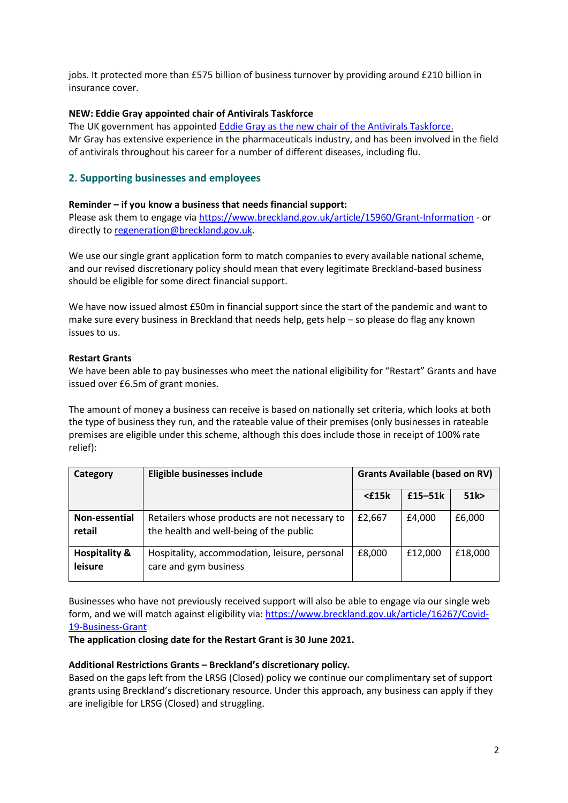jobs. It protected more than £575 billion of business turnover by providing around £210 billion in insurance cover.

#### **NEW: Eddie Gray appointed chair of Antivirals Taskforce**

The UK government has appointed [Eddie Gray as the new chair of the Antivirals Taskforce.](https://www.gov.uk/government/news/eddie-gray-appointed-chair-of-antivirals-taskforce) Mr Gray has extensive experience in the pharmaceuticals industry, and has been involved in the field of antivirals throughout his career for a number of different diseases, including flu.

## <span id="page-1-0"></span>**2. Supporting businesses and employees**

#### **Reminder – if you know a business that needs financial support:**

Please ask them to engage vi[a https://www.breckland.gov.uk/article/15960/Grant-Information](https://www.breckland.gov.uk/article/15960/Grant-Information) - or directly to [regeneration@breckland.gov.uk.](mailto:regeneration@breckland.gov.uk)

We use our single grant application form to match companies to every available national scheme, and our revised discretionary policy should mean that every legitimate Breckland-based business should be eligible for some direct financial support.

We have now issued almost £50m in financial support since the start of the pandemic and want to make sure every business in Breckland that needs help, gets help – so please do flag any known issues to us.

#### **Restart Grants**

We have been able to pay businesses who meet the national eligibility for "Restart" Grants and have issued over £6.5m of grant monies.

The amount of money a business can receive is based on nationally set criteria, which looks at both the type of business they run, and the rateable value of their premises (only businesses in rateable premises are eligible under this scheme, although this does include those in receipt of 100% rate relief):

| Category                            | Eligible businesses include                                                              | <b>Grants Available (based on RV)</b> |           |         |
|-------------------------------------|------------------------------------------------------------------------------------------|---------------------------------------|-----------|---------|
|                                     |                                                                                          | $<$ £15 $k$                           | $£15-51k$ | 51k     |
| Non-essential<br>retail             | Retailers whose products are not necessary to<br>the health and well-being of the public | £2,667                                | £4.000    | £6,000  |
| <b>Hospitality &amp;</b><br>leisure | Hospitality, accommodation, leisure, personal<br>care and gym business                   | £8,000                                | £12,000   | £18,000 |

Businesses who have not previously received support will also be able to engage via our single web form, and we will match against eligibility via: [https://www.breckland.gov.uk/article/16267/Covid-](https://www.breckland.gov.uk/article/16267/Covid-19-Business-Grant)[19-Business-Grant](https://www.breckland.gov.uk/article/16267/Covid-19-Business-Grant)

**The application closing date for the Restart Grant is 30 June 2021.**

#### **Additional Restrictions Grants – Breckland's discretionary policy.**

Based on the gaps left from the LRSG (Closed) policy we continue our complimentary set of support grants using Breckland's discretionary resource. Under this approach, any business can apply if they are ineligible for LRSG (Closed) and struggling.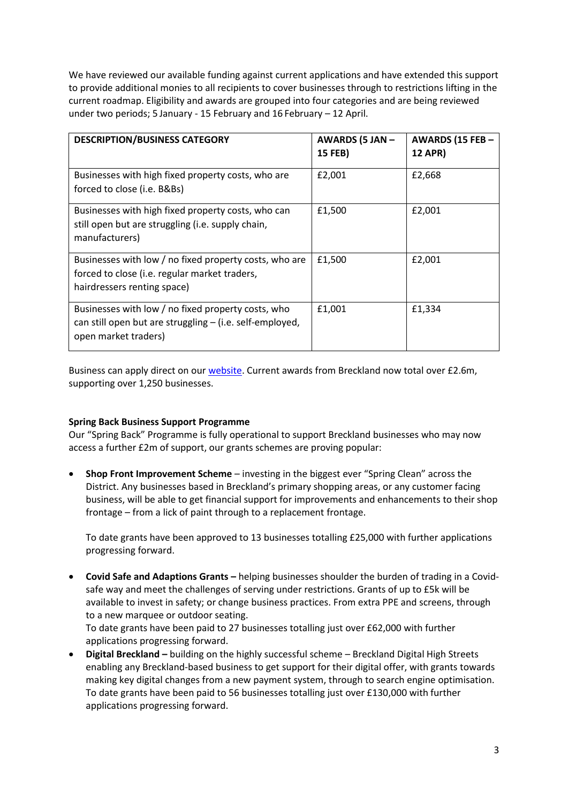We have reviewed our available funding against current applications and have extended this support to provide additional monies to all recipients to cover businesses through to restrictions lifting in the current roadmap. Eligibility and awards are grouped into four categories and are being reviewed under two periods; 5 January - 15 February and 16 February – 12 April.

| <b>DESCRIPTION/BUSINESS CATEGORY</b>                                                                                                   | <b>AWARDS (5 JAN -</b><br>15 FEB) | AWARDS (15 FEB -<br><b>12 APR)</b> |
|----------------------------------------------------------------------------------------------------------------------------------------|-----------------------------------|------------------------------------|
| Businesses with high fixed property costs, who are<br>forced to close (i.e. B&Bs)                                                      | £2,001                            | £2,668                             |
| Businesses with high fixed property costs, who can<br>still open but are struggling (i.e. supply chain,<br>manufacturers)              | £1,500                            | £2,001                             |
| Businesses with low / no fixed property costs, who are<br>forced to close (i.e. regular market traders,<br>hairdressers renting space) | £1,500                            | £2,001                             |
| Businesses with low / no fixed property costs, who<br>can still open but are struggling - (i.e. self-employed,<br>open market traders) | £1.001                            | £1,334                             |

Business can apply direct on our [website.](https://www.breckland.gov.uk/article/16267/Covid-19-Business-Grants) Current awards from Breckland now total over £2.6m, supporting over 1,250 businesses.

## **Spring Back Business Support Programme**

Our "Spring Back" Programme is fully operational to support Breckland businesses who may now access a further £2m of support, our grants schemes are proving popular:

• **Shop Front Improvement Scheme** – investing in the biggest ever "Spring Clean" across the District. Any businesses based in Breckland's primary shopping areas, or any customer facing business, will be able to get financial support for improvements and enhancements to their shop frontage – from a lick of paint through to a replacement frontage.

To date grants have been approved to 13 businesses totalling £25,000 with further applications progressing forward.

• **Covid Safe and Adaptions Grants –** helping businesses shoulder the burden of trading in a Covidsafe way and meet the challenges of serving under restrictions. Grants of up to £5k will be available to invest in safety; or change business practices. From extra PPE and screens, through to a new marquee or outdoor seating.

To date grants have been paid to 27 businesses totalling just over £62,000 with further applications progressing forward.

• **Digital Breckland –** building on the highly successful scheme – Breckland Digital High Streets enabling any Breckland-based business to get support for their digital offer, with grants towards making key digital changes from a new payment system, through to search engine optimisation. To date grants have been paid to 56 businesses totalling just over £130,000 with further applications progressing forward.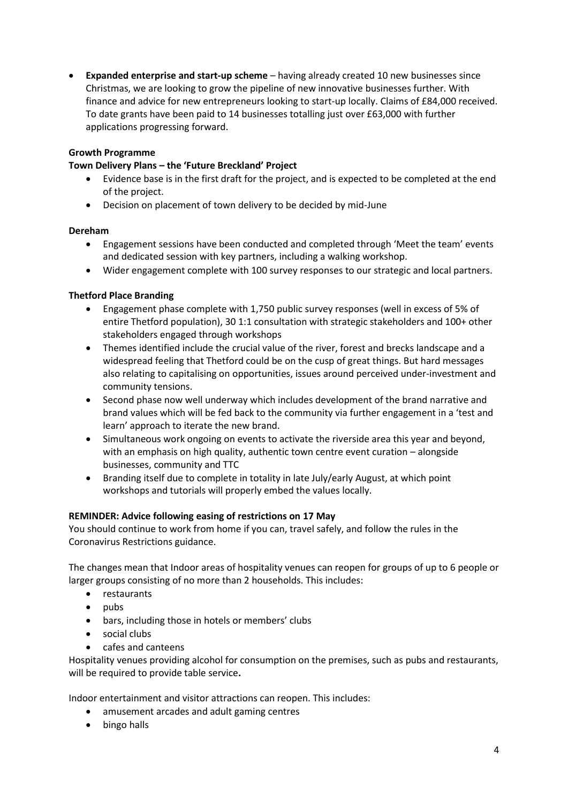• **Expanded enterprise and start-up scheme** – having already created 10 new businesses since Christmas, we are looking to grow the pipeline of new innovative businesses further. With finance and advice for new entrepreneurs looking to start-up locally. Claims of £84,000 received. To date grants have been paid to 14 businesses totalling just over £63,000 with further applications progressing forward.

## **Growth Programme**

#### **Town Delivery Plans – the 'Future Breckland' Project**

- Evidence base is in the first draft for the project, and is expected to be completed at the end of the project.
- Decision on placement of town delivery to be decided by mid-June

#### **Dereham**

- Engagement sessions have been conducted and completed through 'Meet the team' events and dedicated session with key partners, including a walking workshop.
- Wider engagement complete with 100 survey responses to our strategic and local partners.

#### **Thetford Place Branding**

- Engagement phase complete with 1,750 public survey responses (well in excess of 5% of entire Thetford population), 30 1:1 consultation with strategic stakeholders and 100+ other stakeholders engaged through workshops
- Themes identified include the crucial value of the river, forest and brecks landscape and a widespread feeling that Thetford could be on the cusp of great things. But hard messages also relating to capitalising on opportunities, issues around perceived under-investment and community tensions.
- Second phase now well underway which includes development of the brand narrative and brand values which will be fed back to the community via further engagement in a 'test and learn' approach to iterate the new brand.
- Simultaneous work ongoing on events to activate the riverside area this year and beyond, with an emphasis on high quality, authentic town centre event curation – alongside businesses, community and TTC
- Branding itself due to complete in totality in late July/early August, at which point workshops and tutorials will properly embed the values locally.

#### **REMINDER: Advice following easing of restrictions on 17 May**

You should continue to work from home if you can, travel safely, and follow the rules in the Coronavirus Restrictions guidance.

The changes mean that Indoor areas of hospitality venues can reopen for groups of up to 6 people or larger groups consisting of no more than 2 households. This includes:

- restaurants
- pubs
- bars, including those in hotels or members' clubs
- social clubs
- cafes and canteens

Hospitality venues providing alcohol for consumption on the premises, such as pubs and restaurants, will be required to provide table service**.**

Indoor entertainment and visitor attractions can reopen. This includes:

- amusement arcades and adult gaming centres
- bingo halls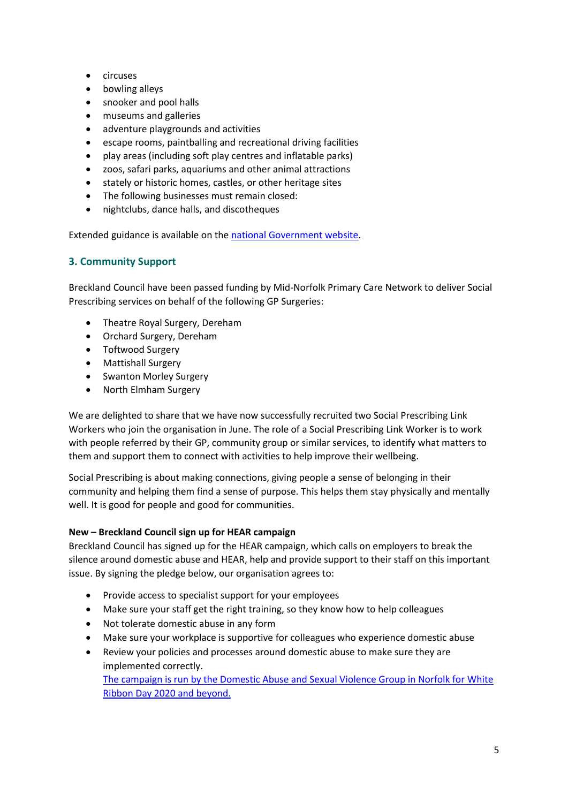- circuses
- bowling alleys
- snooker and pool halls
- museums and galleries
- adventure playgrounds and activities
- escape rooms, paintballing and recreational driving facilities
- play areas (including soft play centres and inflatable parks)
- zoos, safari parks, aquariums and other animal attractions
- stately or historic homes, castles, or other heritage sites
- The following businesses must remain closed:
- nightclubs, dance halls, and discotheques

Extended guidance is available on the [national Government website.](https://www.gov.uk/government/publications/reopening-businesses-and-venues-in-england/reopening-businesses-and-venues)

## <span id="page-4-0"></span>**3. Community Support**

Breckland Council have been passed funding by Mid-Norfolk Primary Care Network to deliver Social Prescribing services on behalf of the following GP Surgeries:

- Theatre Royal Surgery, Dereham
- Orchard Surgery, Dereham
- Toftwood Surgery
- Mattishall Surgery
- Swanton Morley Surgery
- North Elmham Surgery

We are delighted to share that we have now successfully recruited two Social Prescribing Link Workers who join the organisation in June. The role of a Social Prescribing Link Worker is to work with people referred by their GP, community group or similar services, to identify what matters to them and support them to connect with activities to help improve their wellbeing.

Social Prescribing is about making connections, giving people a sense of belonging in their community and helping them find a sense of purpose. This helps them stay physically and mentally well. It is good for people and good for communities.

## **New – Breckland Council sign up for HEAR campaign**

Breckland Council has signed up for the HEAR campaign, which calls on employers to break the silence around domestic abuse and HEAR, help and provide support to their staff on this important issue. By signing the pledge below, our organisation agrees to:

- Provide access to specialist support for your employees
- Make sure your staff get the right training, so they know how to help colleagues
- Not tolerate domestic abuse in any form
- Make sure your workplace is supportive for colleagues who experience domestic abuse
- Review your policies and processes around domestic abuse to make sure they are implemented correctly.

[The campaign is run by the Domestic Abuse and Sexual Violence Group in Norfolk for](https://www.norfolk.gov.uk/what-we-do-and-how-we-work/campaigns/hear-campaign) White [Ribbon Day 2020](https://www.norfolk.gov.uk/what-we-do-and-how-we-work/campaigns/hear-campaign) and beyond.